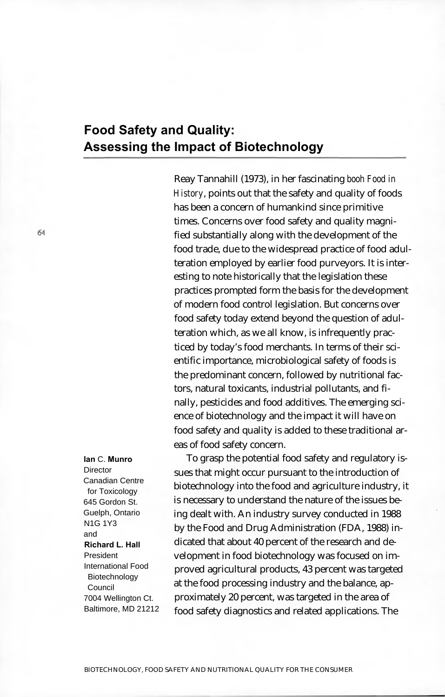## **Food Safety and Quality: Assessing the Impact of Biotechnology**

Reay Tannahill (1973), in her fascinating *booh Food in History*, points out that the safety and quality of foods has been a concern of humankind since primitive times. Concerns over food safety and quality magnified substantially along with the development of the food trade, due to the widespread practice of food adulteration employed by earlier food purveyors. It is interesting to note historically that the legislation these practices prompted form the basis for the development of modern food control legislation. But concerns over food safety today extend beyond the question of adulteration which, as we all know, is infrequently practiced by today's food merchants. In terms of their scientific importance, microbiological safety of foods is the predominant concern, followed by nutritional factors, natural toxicants, industrial pollutants, and finally, pesticides and food additives. The emerging science of biotechnology and the impact it will have on food safety and quality is added to these traditional areas of food safety concern.

To grasp the potential food safety and regulatory issues that might occur pursuant to the introduction of biotechnology into the food and agriculture industry, it is necessary to understand the nature of the issues being dealt with. An industry survey conducted in 1988 by the Food and Drug Administration (FDA, 1988) indicated that about 40 percent of the research and development in food biotechnology was focused on improved agricultural products, 43 percent was targeted at the food processing industry and the balance, approximately 20 percent, was targeted in the area of food safety diagnostics and related applications. The

**Ian** C. **Munro Director** Canadian Centre for Toxicology 645 Gordon St. Guelph, Ontario N1G 1Y3 and **Richard L. Hall** President International Food Biotechnology Council 7004 Wellington Ct. Baltimore, MD 21212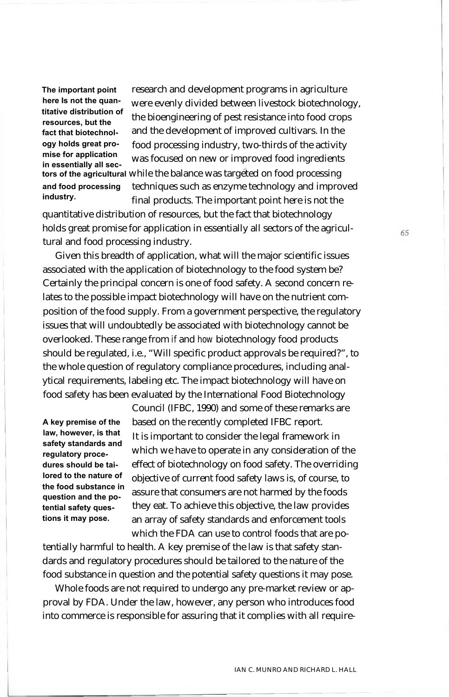**and food processing industry. The important point here Is not the quantitative distribution of resources, but the fact that biotechnology holds great promise for application in essentially all sec-**

research and development programs in agriculture were evenly divided between livestock biotechnology, the bioengineering of pest resistance into food crops and the development of improved cultivars. In the food processing industry, two-thirds of the activity was focused on new or improved food ingredients **tors of the agricultural** while the balance was targeted on food processing techniques such as enzyme technology and improved final products. The important point here is not the

quantitative distribution of resources, but the fact that biotechnology holds great promise for application in essentially all sectors of the agricultural and food processing industry.

Given this breadth of application, what will the major scientific issues associated with the application of biotechnology to the food system be? Certainly the principal concern is one of food safety. A second concern relates to the possible impact biotechnology will have on the nutrient composition of the food supply. From a government perspective, the regulatory issues that will undoubtedly be associated with biotechnology cannot be overlooked. These range from *if* and *how* biotechnology food products should be regulated, i.e., "Will specific product approvals be required?", to the whole question of regulatory compliance procedures, including analytical requirements, labeling etc. The impact biotechnology will have on food safety has been evaluated by the International Food Biotechnology

**A key premise of the law, however, is that safety standards and regulatory procedures should be tailored to the nature of the food substance in question and the potential safety questions it may pose.**

Council (IFBC, 1990) and some of these remarks are based on the recently completed IFBC report. It is important to consider the legal framework in which we have to operate in any consideration of the effect of biotechnology on food safety. The overriding objective of current food safety laws is, of course, to assure that consumers are not harmed by the foods they eat. To achieve this objective, the law provides an array of safety standards and enforcement tools which the FDA can use to control foods that are po-

tentially harmful to health. A key premise of the law is that safety standards and regulatory procedures should be tailored to the nature of the food substance in question and the potential safety questions it may pose.

Whole foods are not required to undergo any pre-market review or approval by FDA. Under the law, however, any person who introduces food into commerce is responsible for assuring that it complies with all require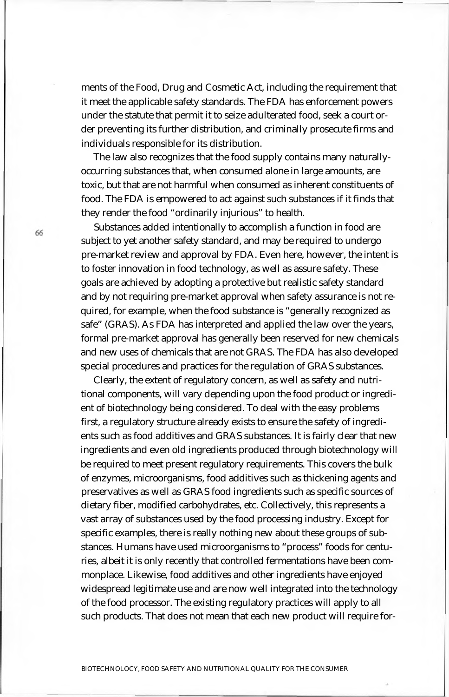ments of the Food, Drug and Cosmetic Act, including the requirement that it meet the applicable safety standards. The FDA has enforcement powers under the statute that permit it to seize adulterated food, seek a court order preventing its further distribution, and criminally prosecute firms and individuals responsible for its distribution.

The law also recognizes that the food supply contains many naturallyoccurring substances that, when consumed alone in large amounts, are toxic, but that are not harmful when consumed as inherent constituents of food. The FDA is empowered to act against such substances if it finds that they render the food "ordinarily injurious" to health.

Substances added intentionally to accomplish a function in food are subject to yet another safety standard, and may be required to undergo pre-market review and approval by FDA. Even here, however, the intent is to foster innovation in food technology, as well as assure safety. These goals are achieved by adopting a protective but realistic safety standard and by not requiring pre-market approval when safety assurance is not required, for example, when the food substance is "generally recognized as safe" (GRAS). As FDA has interpreted and applied the law over the years, formal pre-market approval has generally been reserved for new chemicals and new uses of chemicals that are not GRAS. The FDA has also developed special procedures and practices for the regulation of GRAS substances.

Clearly, the extent of regulatory concern, as well as safety and nutritional components, will vary depending upon the food product or ingredient of biotechnology being considered. To deal with the easy problems first, a regulatory structure already exists to ensure the safety of ingredients such as food additives and GRAS substances. It is fairly clear that new ingredients and even old ingredients produced through biotechnology will be required to meet present regulatory requirements. This covers the bulk of enzymes, microorganisms, food additives such as thickening agents and preservatives as well as GRAS food ingredients such as specific sources of dietary fiber, modified carbohydrates, etc. Collectively, this represents a vast array of substances used by the food processing industry. Except for specific examples, there is really nothing new about these groups of substances. Humans have used microorganisms to "process" foods for centuries, albeit it is only recently that controlled fermentations have been commonplace. Likewise, food additives and other ingredients have enjoyed widespread legitimate use and are now well integrated into the technology of the food processor. The existing regulatory practices will apply to all such products. That does not mean that each new product will require for-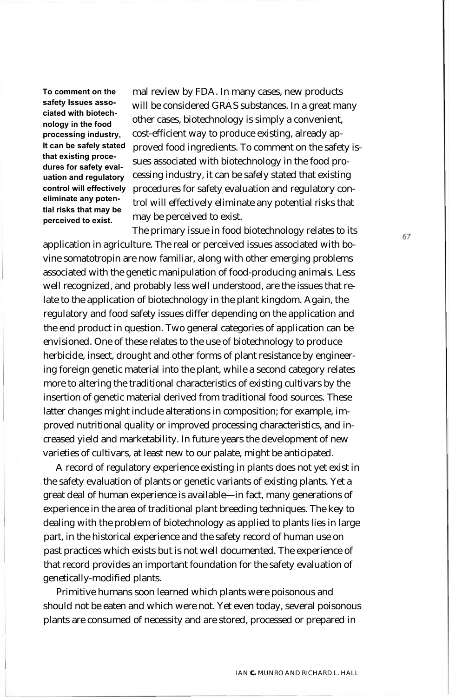**To comment on the safety Issues associated with biotechnology in the food processing industry, It can be safely stated that existing procedures for safety evaluation and regulatory control will effectively eliminate any potential risks that may be perceived to exist.**

mal review by FDA. In many cases, new products will be considered GRAS substances. In a great many other cases, biotechnology is simply a convenient, cost-efficient way to produce existing, already approved food ingredients. To comment on the safety issues associated with biotechnology in the food processing industry, it can be safely stated that existing procedures for safety evaluation and regulatory control will effectively eliminate any potential risks that may be perceived to exist.

The primary issue in food biotechnology relates to its application in agriculture. The real or perceived issues associated with bovine somatotropin are now familiar, along with other emerging problems associated with the genetic manipulation of food-producing animals. Less well recognized, and probably less well understood, are the issues that relate to the application of biotechnology in the plant kingdom. Again, the regulatory and food safety issues differ depending on the application and the end product in question. Two general categories of application can be envisioned. One of these relates to the use of biotechnology to produce herbicide, insect, drought and other forms of plant resistance by engineering foreign genetic material into the plant, while a second category relates more to altering the traditional characteristics of existing cultivars by the insertion of genetic material derived from traditional food sources. These latter changes might include alterations in composition; for example, improved nutritional quality or improved processing characteristics, and increased yield and marketability. In future years the development of new varieties of cultivars, at least new to our palate, might be anticipated.

A record of regulatory experience existing in plants does not yet exist in the safety evaluation of plants or genetic variants of existing plants. Yet a great deal of human experience is available—in fact, many generations of experience in the area of traditional plant breeding techniques. The key to dealing with the problem of biotechnology as applied to plants lies in large part, in the historical experience and the safety record of human use on past practices which exists but is not well documented. The experience of that record provides an important foundation for the safety evaluation of genetically-modified plants.

Primitive humans soon learned which plants were poisonous and should not be eaten and which were not. Yet even today, several poisonous plants are consumed of necessity and are stored, processed or prepared in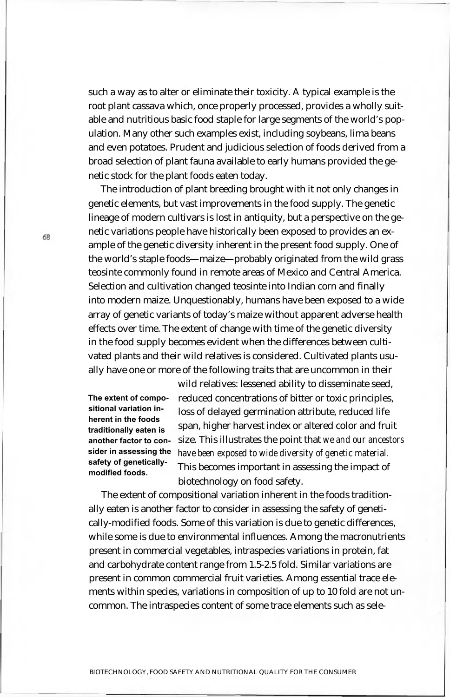such a way as to alter or eliminate their toxicity. A typical example is the root plant cassava which, once properly processed, provides a wholly suitable and nutritious basic food staple for large segments of the world's population. Many other such examples exist, including soybeans, lima beans and even potatoes. Prudent and judicious selection of foods derived from a broad selection of plant fauna available to early humans provided the genetic stock for the plant foods eaten today.

The introduction of plant breeding brought with it not only changes in genetic elements, but vast improvements in the food supply. The genetic lineage of modern cultivars is lost in antiquity, but a perspective on the genetic variations people have historically been exposed to provides an example of the genetic diversity inherent in the present food supply. One of the world's staple foods—maize—probably originated from the wild grass teosinte commonly found in remote areas of Mexico and Central America. Selection and cultivation changed teosinte into Indian corn and finally into modern maize. Unquestionably, humans have been exposed to a wide array of genetic variants of today's maize without apparent adverse health effects over time. The extent of change with time of the genetic diversity in the food supply becomes evident when the differences between cultivated plants and their wild relatives is considered. Cultivated plants usually have one or more of the following traits that are uncommon in their

**The extent of compositional variation inherent in the foods traditionally eaten is another factor to consider in assessing the safety of geneticallymodified foods.**

wild relatives: lessened ability to disseminate seed, reduced concentrations of bitter or toxic principles, loss of delayed germination attribute, reduced life span, higher harvest index or altered color and fruit size. This illustrates the point that *we and our ancestors have been exposed to wide diversity of genetic material.* This becomes important in assessing the impact of biotechnology on food safety.

The extent of compositional variation inherent in the foods traditionally eaten is another factor to consider in assessing the safety of genetically-modified foods. Some of this variation is due to genetic differences, while some is due to environmental influences. Among the macronutrients present in commercial vegetables, intraspecies variations in protein, fat and carbohydrate content range from 1.5-2.5 fold. Similar variations are present in common commercial fruit varieties. Among essential trace elements within species, variations in composition of up to 10 fold are not uncommon. The intraspecies content of some trace elements such as sele-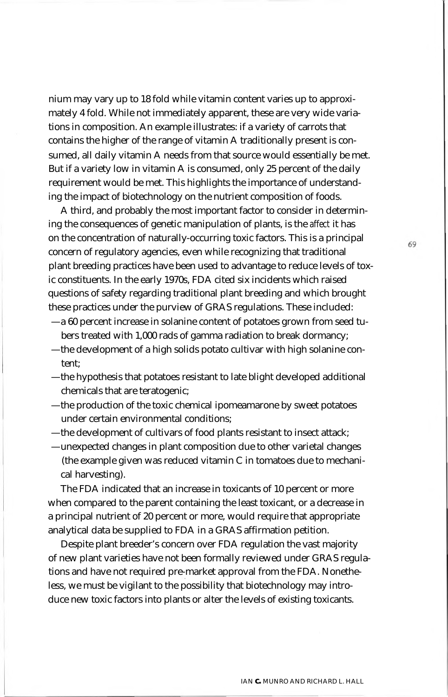nium may vary up to 18 fold while vitamin content varies up to approximately 4 fold. While not immediately apparent, these are very wide variations in composition. An example illustrates: if a variety of carrots that contains the higher of the range of vitamin A traditionally present is consumed, all daily vitamin A needs from that source would essentially be met. But if a variety low in vitamin A is consumed, only 25 percent of the daily requirement would be met. This highlights the importance of understanding the impact of biotechnology on the nutrient composition of foods.

A third, and probably the most important factor to consider in determining the consequences of genetic manipulation of plants, is the *affect* it has on the concentration of naturally-occurring toxic factors. This is a principal concern of regulatory agencies, even while recognizing that traditional plant breeding practices have been used to advantage to reduce levels of toxic constituents. In the early 1970s, FDA cited six incidents which raised questions of safety regarding traditional plant breeding and which brought these practices under the purview of GRAS regulations. These included:

- —a 60 percent increase in solanine content of potatoes grown from seed tubers treated with 1,000 rads of gamma radiation to break dormancy;
- —the development of a high solids potato cultivar with high solanine content;
- —the hypothesis that potatoes resistant to late blight developed additional chemicals that are teratogenic;
- —the production of the toxic chemical ipomeamarone by sweet potatoes under certain environmental conditions;
- —the development of cultivars of food plants resistant to insect attack;
- —unexpected changes in plant composition due to other varietal changes (the example given was reduced vitamin C in tomatoes due to mechanical harvesting).

The FDA indicated that an increase in toxicants of 10 percent or more when compared to the parent containing the least toxicant, or a decrease in a principal nutrient of 20 percent or more, would require that appropriate analytical data be supplied to FDA in a GRAS affirmation petition.

Despite plant breeder's concern over FDA regulation the vast majority of new plant varieties have not been formally reviewed under GRAS regulations and have not required pre-market approval from the FDA. Nonetheless, we must be vigilant to the possibility that biotechnology may introduce new toxic factors into plants or alter the levels of existing toxicants.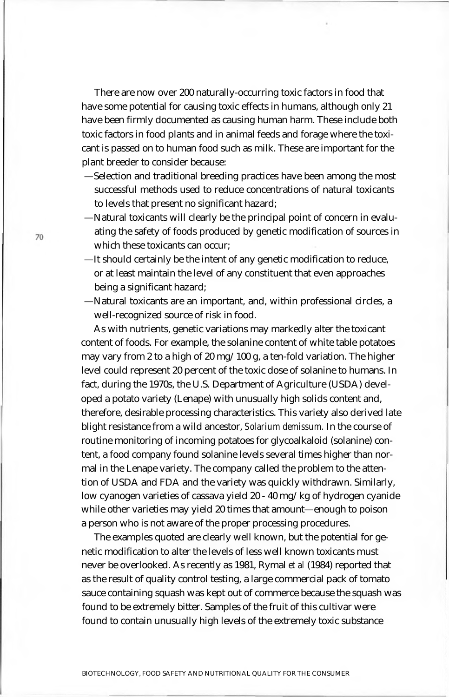There are now over 200 naturally-occurring toxic factors in food that have some potential for causing toxic effects in humans, although only 21 have been firmly documented as causing human harm. These include both toxic factors in food plants and in animal feeds and forage where the toxicant is passed on to human food such as milk. These are important for the plant breeder to consider because:

- —Selection and traditional breeding practices have been among the most successful methods used to reduce concentrations of natural toxicants to levels that present no significant hazard;
- —Natural toxicants will clearly be the principal point of concern in evaluating the safety of foods produced by genetic modification of sources in which these toxicants can occur;
- —It should certainly be the intent of any genetic modification to reduce, or at least maintain the level of any constituent that even approaches being a significant hazard;
- —Natural toxicants are an important, and, within professional circles, a well-recognized source of risk in food.

As with nutrients, genetic variations may markedly alter the toxicant content of foods. For example, the solanine content of white table potatoes may vary from 2 to a high of 20 mg/100 g, a ten-fold variation. The higher level could represent 20 percent of the toxic dose of solanine to humans. In fact, during the 1970s, the U.S. Department of Agriculture (USDA) developed a potato variety (Lenape) with unusually high solids content and, therefore, desirable processing characteristics. This variety also derived late blight resistance from a wild ancestor, *Solarium demissum.* In the course of routine monitoring of incoming potatoes for glycoalkaloid (solanine) content, a food company found solanine levels several times higher than normal in the Lenape variety. The company called the problem to the attention of USDA and FDA and the variety was quickly withdrawn. Similarly, low cyanogen varieties of cassava yield 20 - 40 mg/kg of hydrogen cyanide while other varieties may yield 20 times that amount—enough to poison a person who is not aware of the proper processing procedures.

The examples quoted are clearly well known, but the potential for genetic modification to alter the levels of less well known toxicants must never be overlooked. As recently as 1981, Rymal *et al* (1984) reported that as the result of quality control testing, a large commercial pack of tomato sauce containing squash was kept out of commerce because the squash was found to be extremely bitter. Samples of the fruit of this cultivar were found to contain unusually high levels of the extremely toxic substance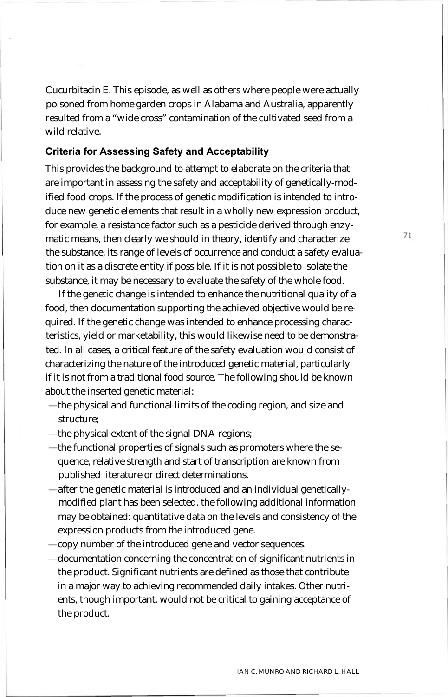Cucurbitacin E. This episode, as well as others where people were actually poisoned from home garden crops in Alabama and Australia, apparently resulted from a "wide cross" contamination of the cultivated seed from a wild relative.

## **Criteria for Assessing Safety and Acceptability**

This provides the background to attempt to elaborate on the criteria that are important in assessing the safety and acceptability of genetically-modified food crops. If the process of genetic modification is intended to introduce new genetic elements that result in a wholly new expression product, for example, a resistance factor such as a pesticide derived through enzymatic means, then clearly we should in theory, identify and characterize the substance, its range of levels of occurrence and conduct a safety evaluation on it as a discrete entity if possible. If it is not possible to isolate the substance, it may be necessary to evaluate the safety of the whole food.

If the genetic change is intended to enhance the nutritional quality of a food, then documentation supporting the achieved objective would be required. If the genetic change was intended to enhance processing characteristics, yield or marketability, this would likewise need to be demonstrated. In all cases, a critical feature of the safety evaluation would consist of characterizing the nature of the introduced genetic material, particularly if it is not from a traditional food source. The following should be known about the inserted genetic material:

- —the physical and functional limits of the coding region, and size and structure;
- —the physical extent of the signal DNA regions;
- —the functional properties of signals such as promoters where the sequence, relative strength and start of transcription are known from published literature or direct determinations.
- —after the genetic material is introduced and an individual geneticallymodified plant has been selected, the following additional information may be obtained: quantitative data on the levels and consistency of the expression products from the introduced gene.
- —copy number of the introduced gene and vector sequences.
- —documentation concerning the concentration of significant nutrients in the product. Significant nutrients are defined as those that contribute in a major way to achieving recommended daily intakes. Other nutrients, though important, would not be critical to gaining acceptance of the product.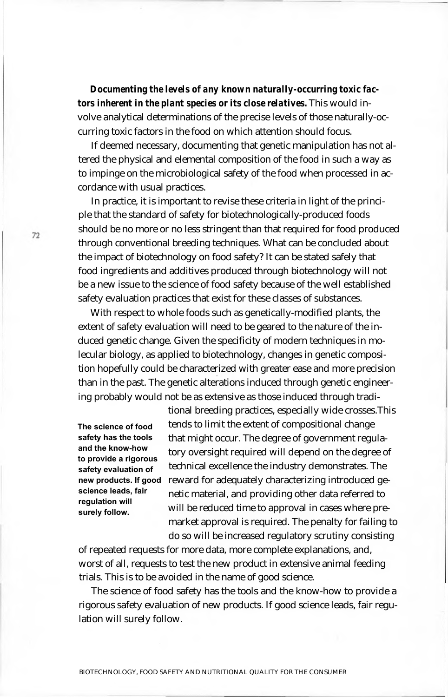*Documenting the levels of any known naturally-occurring toxic factors inherent in the plant species or its close relatives.* This would involve analytical determinations of the precise levels of those naturally-occurring toxic factors in the food on which attention should focus.

If deemed necessary, documenting that genetic manipulation has not altered the physical and elemental composition of the food in such a way as to impinge on the microbiological safety of the food when processed in accordance with usual practices.

In practice, it is important to revise these criteria in light of the principle that the standard of safety for biotechnologically-produced foods should be no more or no less stringent than that required for food produced through conventional breeding techniques. What can be concluded about the impact of biotechnology on food safety? It can be stated safely that food ingredients and additives produced through biotechnology will not be a new issue to the science of food safety because of the well established safety evaluation practices that exist for these classes of substances.

With respect to whole foods such as genetically-modified plants, the extent of safety evaluation will need to be geared to the nature of the induced genetic change. Given the specificity of modern techniques in molecular biology, as applied to biotechnology, changes in genetic composition hopefully could be characterized with greater ease and more precision than in the past. The genetic alterations induced through genetic engineering probably would not be as extensive as those induced through tradi-

**The science of food safety has the tools and the know-how to provide a rigorous safety evaluation of new products. If good science leads, fair regulation will surely follow.**

tional breeding practices, especially wide crosses.This tends to limit the extent of compositional change that might occur. The degree of government regulatory oversight required will depend on the degree of technical excellence the industry demonstrates. The reward for adequately characterizing introduced genetic material, and providing other data referred to will be reduced time to approval in cases where premarket approval is required. The penalty for failing to do so will be increased regulatory scrutiny consisting

of repeated requests for more data, more complete explanations, and, worst of all, requests to test the new product in extensive animal feeding trials. This is to be avoided in the name of good science.

The science of food safety has the tools and the know-how to provide a rigorous safety evaluation of new products. If good science leads, fair regulation will surely follow.